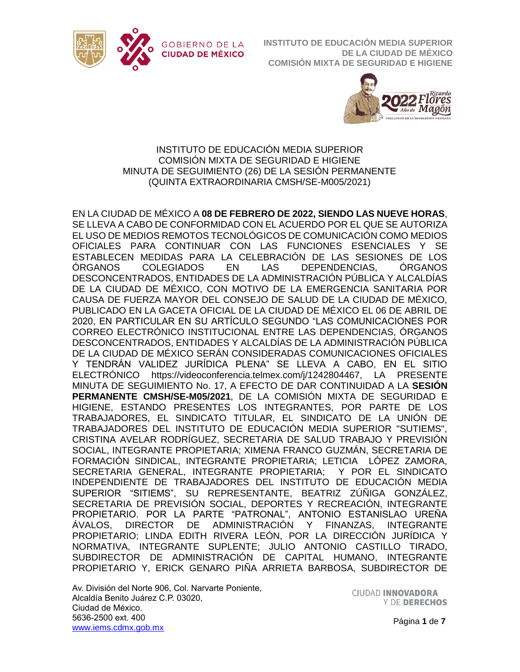



## INSTITUTO DE EDUCACIÓN MEDIA SUPERIOR COMISIÓN MIXTA DE SEGURIDAD E HIGIENE MINUTA DE SEGUIMIENTO (26) DE LA SESIÓN PERMANENTE (QUINTA EXTRAORDINARIA CMSH/SE-M005/2021)

EN LA CIUDAD DE MÉXICO A **08 DE FEBRERO DE 2022, SIENDO LAS NUEVE HORAS**, SE LLEVA A CABO DE CONFORMIDAD CON EL ACUERDO POR EL QUE SE AUTORIZA EL USO DE MEDIOS REMOTOS TECNOLÓGICOS DE COMUNICACIÓN COMO MEDIOS OFICIALES PARA CONTINUAR CON LAS FUNCIONES ESENCIALES Y SE ESTABLECEN MEDIDAS PARA LA CELEBRACIÓN DE LAS SESIONES DE LOS ÓRGANOS COLEGIADOS EN LAS DEPENDENCIAS, ÓRGANOS DESCONCENTRADOS, ENTIDADES DE LA ADMINISTRACIÓN PÚBLICA Y ALCALDÍAS DE LA CIUDAD DE MÉXICO, CON MOTIVO DE LA EMERGENCIA SANITARIA POR CAUSA DE FUERZA MAYOR DEL CONSEJO DE SALUD DE LA CIUDAD DE MÉXICO, PUBLICADO EN LA GACETA OFICIAL DE LA CIUDAD DE MÉXICO EL 06 DE ABRIL DE 2020, EN PARTICULAR EN SU ARTÍCULO SEGUNDO "LAS COMUNICACIONES POR CORREO ELECTRÓNICO INSTITUCIONAL ENTRE LAS DEPENDENCIAS, ÓRGANOS DESCONCENTRADOS, ENTIDADES Y ALCALDÍAS DE LA ADMINISTRACIÓN PÚBLICA DE LA CIUDAD DE MÉXICO SERÁN CONSIDERADAS COMUNICACIONES OFICIALES Y TENDRÁN VALIDEZ JURÍDICA PLENA" SE LLEVA A CABO, EN EL SITIO ELECTRÓNICO [https://videoconferencia.telmex.com/j/1242804467,](https://videoconferencia.telmex.com/j/1242804467) LA PRESENTE MINUTA DE SEGUIMIENTO No. 17, A EFECTO DE DAR CONTINUIDAD A LA **SESIÓN PERMANENTE CMSH/SE-M05/2021**, DE LA COMISIÓN MIXTA DE SEGURIDAD E HIGIENE, ESTANDO PRESENTES LOS INTEGRANTES, POR PARTE DE LOS TRABAJADORES, EL SINDICATO TITULAR, EL SINDICATO DE LA UNIÓN DE TRABAJADORES DEL INSTITUTO DE EDUCACIÓN MEDIA SUPERIOR "SUTIEMS", CRISTINA AVELAR RODRÍGUEZ, SECRETARIA DE SALUD TRABAJO Y PREVISIÓN SOCIAL, INTEGRANTE PROPIETARIA; XIMENA FRANCO GUZMÁN, SECRETARIA DE FORMACIÓN SINDICAL, INTEGRANTE PROPIETARIA; LETICIA LÓPEZ ZAMORA, SECRETARIA GENERAL, INTEGRANTE PROPIETARIA; Y POR EL SINDICATO INDEPENDIENTE DE TRABAJADORES DEL INSTITUTO DE EDUCACIÓN MEDIA SUPERIOR "SITIEMS", SU REPRESENTANTE, BEATRIZ ZÚÑIGA GONZÁLEZ, SECRETARIA DE PREVISIÓN SOCIAL, DEPORTES Y RECREACIÓN, INTEGRANTE PROPIETARIO. POR LA PARTE "PATRONAL", ANTONIO ESTANISLAO UREÑA ÁVALOS, DIRECTOR DE ADMINISTRACIÓN Y FINANZAS, INTEGRANTE PROPIETARIO; LINDA EDITH RIVERA LEÓN, POR LA DIRECCIÓN JURÍDICA Y NORMATIVA, INTEGRANTE SUPLENTE; JULIO ANTONIO CASTILLO TIRADO, SUBDIRECTOR DE ADMINISTRACIÓN DE CAPITAL HUMANO, INTEGRANTE PROPIETARIO Y, ERICK GENARO PIÑA ARRIETA BARBOSA, SUBDIRECTOR DE

Av. División del Norte 906, Col. Narvarte Poniente, Alcaldía Benito Juárez C.P. 03020, Ciudad de México. 5636-2500 ext. 400 [www.iems.cdmx.gob.mx](http://www.iems.cdmx.gob.mx/)

**CIUDAD INNOVADORA** Y DE DERECHOS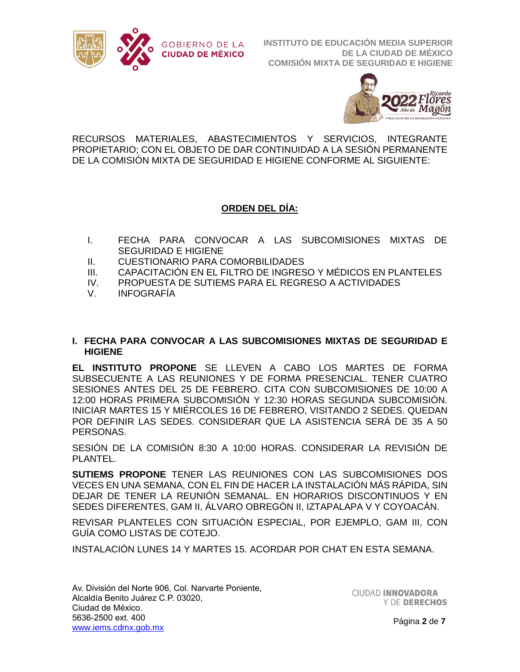



RECURSOS MATERIALES, ABASTECIMIENTOS Y SERVICIOS, INTEGRANTE PROPIETARIO; CON EL OBJETO DE DAR CONTINUIDAD A LA SESIÓN PERMANENTE DE LA COMISIÓN MIXTA DE SEGURIDAD E HIGIENE CONFORME AL SIGUIENTE:

# **ORDEN DEL DÍA:**

- I. FECHA PARA CONVOCAR A LAS SUBCOMISIONES MIXTAS DE SEGURIDAD E HIGIENE
- II. CUESTIONARIO PARA COMORBILIDADES
- III. CAPACITACIÓN EN EL FILTRO DE INGRESO Y MÉDICOS EN PLANTELES
- IV. PROPUESTA DE SUTIEMS PARA EL REGRESO A ACTIVIDADES
- V. INFOGRAFÍA

### **I. FECHA PARA CONVOCAR A LAS SUBCOMISIONES MIXTAS DE SEGURIDAD E HIGIENE**

**EL INSTITUTO PROPONE** SE LLEVEN A CABO LOS MARTES DE FORMA SUBSECUENTE A LAS REUNIONES Y DE FORMA PRESENCIAL. TENER CUATRO SESIONES ANTES DEL 25 DE FEBRERO. CITA CON SUBCOMISIONES DE 10:00 A 12:00 HORAS PRIMERA SUBCOMISIÓN Y 12:30 HORAS SEGUNDA SUBCOMISIÓN. INICIAR MARTES 15 Y MIÉRCOLES 16 DE FEBRERO, VISITANDO 2 SEDES. QUEDAN POR DEFINIR LAS SEDES. CONSIDERAR QUE LA ASISTENCIA SERÁ DE 35 A 50 PERSONAS.

SESIÓN DE LA COMISIÓN 8:30 A 10:00 HORAS. CONSIDERAR LA REVISIÓN DE PLANTEL.

**SUTIEMS PROPONE** TENER LAS REUNIONES CON LAS SUBCOMISIONES DOS VECES EN UNA SEMANA, CON EL FIN DE HACER LA INSTALACIÓN MÁS RÁPIDA, SIN DEJAR DE TENER LA REUNIÓN SEMANAL. EN HORARIOS DISCONTINUOS Y EN SEDES DIFERENTES, GAM II, ÁLVARO OBREGÓN II, IZTAPALAPA V Y COYOACÁN.

REVISAR PLANTELES CON SITUACIÓN ESPECIAL, POR EJEMPLO, GAM III, CON GUÍA COMO LISTAS DE COTEJO.

INSTALACIÓN LUNES 14 Y MARTES 15. ACORDAR POR CHAT EN ESTA SEMANA.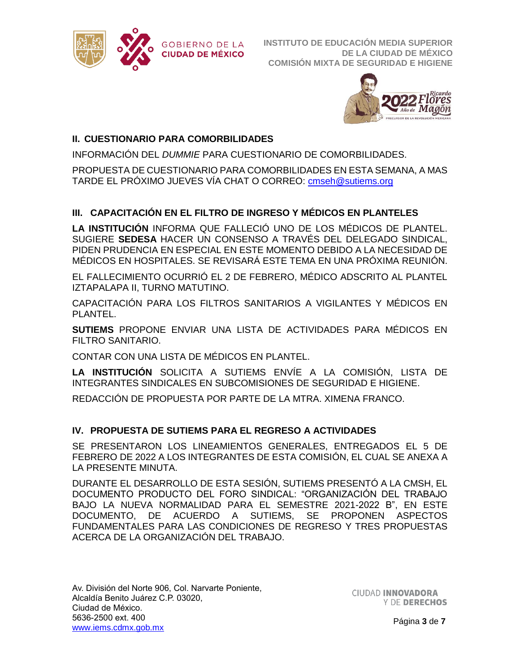



# **II. CUESTIONARIO PARA COMORBILIDADES**

INFORMACIÓN DEL *DUMMIE* PARA CUESTIONARIO DE COMORBILIDADES.

PROPUESTA DE CUESTIONARIO PARA COMORBILIDADES EN ESTA SEMANA, A MAS TARDE EL PRÓXIMO JUEVES VÍA CHAT O CORREO: [cmseh@sutiems.org](mailto:cmseh@sutiems.org)

## **III. CAPACITACIÓN EN EL FILTRO DE INGRESO Y MÉDICOS EN PLANTELES**

**LA INSTITUCIÓN** INFORMA QUE FALLECIÓ UNO DE LOS MÉDICOS DE PLANTEL. SUGIERE **SEDESA** HACER UN CONSENSO A TRAVÉS DEL DELEGADO SINDICAL, PIDEN PRUDENCIA EN ESPECIAL EN ESTE MOMENTO DEBIDO A LA NECESIDAD DE MÉDICOS EN HOSPITALES. SE REVISARÁ ESTE TEMA EN UNA PRÓXIMA REUNIÓN.

EL FALLECIMIENTO OCURRIÓ EL 2 DE FEBRERO, MÉDICO ADSCRITO AL PLANTEL IZTAPALAPA II, TURNO MATUTINO.

CAPACITACIÓN PARA LOS FILTROS SANITARIOS A VIGILANTES Y MÉDICOS EN PLANTEL.

**SUTIEMS** PROPONE ENVIAR UNA LISTA DE ACTIVIDADES PARA MÉDICOS EN FILTRO SANITARIO.

CONTAR CON UNA LISTA DE MÉDICOS EN PLANTEL.

**LA INSTITUCIÓN** SOLICITA A SUTIEMS ENVÍE A LA COMISIÓN, LISTA DE INTEGRANTES SINDICALES EN SUBCOMISIONES DE SEGURIDAD E HIGIENE.

REDACCIÓN DE PROPUESTA POR PARTE DE LA MTRA. XIMENA FRANCO.

## **IV. PROPUESTA DE SUTIEMS PARA EL REGRESO A ACTIVIDADES**

SE PRESENTARON LOS LINEAMIENTOS GENERALES, ENTREGADOS EL 5 DE FEBRERO DE 2022 A LOS INTEGRANTES DE ESTA COMISIÓN, EL CUAL SE ANEXA A LA PRESENTE MINUTA.

DURANTE EL DESARROLLO DE ESTA SESIÓN, SUTIEMS PRESENTÓ A LA CMSH, EL DOCUMENTO PRODUCTO DEL FORO SINDICAL: "ORGANIZACIÓN DEL TRABAJO BAJO LA NUEVA NORMALIDAD PARA EL SEMESTRE 2021-2022 B", EN ESTE DOCUMENTO, DE ACUERDO A SUTIEMS, SE PROPONEN ASPECTOS FUNDAMENTALES PARA LAS CONDICIONES DE REGRESO Y TRES PROPUESTAS ACERCA DE LA ORGANIZACIÓN DEL TRABAJO.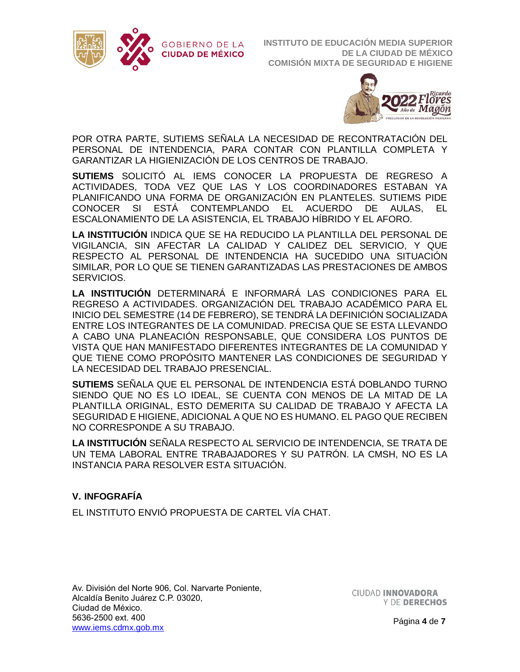



POR OTRA PARTE, SUTIEMS SEÑALA LA NECESIDAD DE RECONTRATACIÓN DEL PERSONAL DE INTENDENCIA, PARA CONTAR CON PLANTILLA COMPLETA Y GARANTIZAR LA HIGIENIZACIÓN DE LOS CENTROS DE TRABAJO.

**SUTIEMS** SOLICITÓ AL IEMS CONOCER LA PROPUESTA DE REGRESO A ACTIVIDADES, TODA VEZ QUE LAS Y LOS COORDINADORES ESTABAN YA PLANIFICANDO UNA FORMA DE ORGANIZACIÓN EN PLANTELES. SUTIEMS PIDE CONOCER SI ESTÁ CONTEMPLANDO EL ACUERDO DE AULAS, EL ESCALONAMIENTO DE LA ASISTENCIA, EL TRABAJO HÍBRIDO Y EL AFORO.

**LA INSTITUCIÓN** INDICA QUE SE HA REDUCIDO LA PLANTILLA DEL PERSONAL DE VIGILANCIA, SIN AFECTAR LA CALIDAD Y CALIDEZ DEL SERVICIO, Y QUE RESPECTO AL PERSONAL DE INTENDENCIA HA SUCEDIDO UNA SITUACIÓN SIMILAR, POR LO QUE SE TIENEN GARANTIZADAS LAS PRESTACIONES DE AMBOS SERVICIOS.

**LA INSTITUCIÓN** DETERMINARÁ E INFORMARÁ LAS CONDICIONES PARA EL REGRESO A ACTIVIDADES. ORGANIZACIÓN DEL TRABAJO ACADÉMICO PARA EL INICIO DEL SEMESTRE (14 DE FEBRERO), SE TENDRÁ LA DEFINICIÓN SOCIALIZADA ENTRE LOS INTEGRANTES DE LA COMUNIDAD. PRECISA QUE SE ESTA LLEVANDO A CABO UNA PLANEACIÓN RESPONSABLE, QUE CONSIDERA LOS PUNTOS DE VISTA QUE HAN MANIFESTADO DIFERENTES INTEGRANTES DE LA COMUNIDAD Y QUE TIENE COMO PROPÓSITO MANTENER LAS CONDICIONES DE SEGURIDAD Y LA NECESIDAD DEL TRABAJO PRESENCIAL.

**SUTIEMS** SEÑALA QUE EL PERSONAL DE INTENDENCIA ESTÁ DOBLANDO TURNO SIENDO QUE NO ES LO IDEAL, SE CUENTA CON MENOS DE LA MITAD DE LA PLANTILLA ORIGINAL, ESTO DEMERITA SU CALIDAD DE TRABAJO Y AFECTA LA SEGURIDAD E HIGIENE, ADICIONAL A QUE NO ES HUMANO. EL PAGO QUE RECIBEN NO CORRESPONDE A SU TRABAJO.

**LA INSTITUCIÓN** SEÑALA RESPECTO AL SERVICIO DE INTENDENCIA, SE TRATA DE UN TEMA LABORAL ENTRE TRABAJADORES Y SU PATRÓN. LA CMSH, NO ES LA INSTANCIA PARA RESOLVER ESTA SITUACIÓN.

## **V. INFOGRAFÍA**

EL INSTITUTO ENVIÓ PROPUESTA DE CARTEL VÍA CHAT.

Av. División del Norte 906, Col. Narvarte Poniente, Alcaldía Benito Juárez C.P. 03020, Ciudad de México. 5636-2500 ext. 400 [www.iems.cdmx.gob.mx](http://www.iems.cdmx.gob.mx/)

**CIUDAD INNOVADORA** Y DE DERECHOS

Página **4** de **7**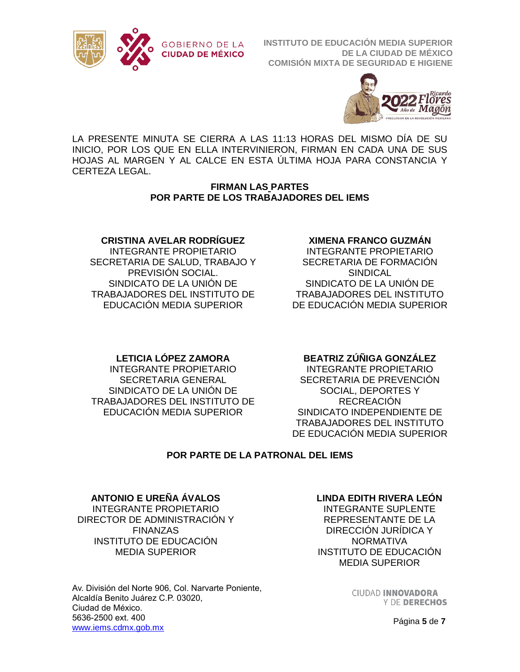



LA PRESENTE MINUTA SE CIERRA A LAS 11:13 HORAS DEL MISMO DÍA DE SU INICIO, POR LOS QUE EN ELLA INTERVINIERON, FIRMAN EN CADA UNA DE SUS HOJAS AL MARGEN Y AL CALCE EN ESTA ÚLTIMA HOJA PARA CONSTANCIA Y CERTEZA LEGAL.

### **FIRMAN LAS PARTES POR PARTE DE LOS TRABAJADORES DEL IEMS**

### **CRISTINA AVELAR RODRÍGUEZ**

INTEGRANTE PROPIETARIO SECRETARIA DE SALUD, TRABAJO Y PREVISIÓN SOCIAL. SINDICATO DE LA UNIÓN DE TRABAJADORES DEL INSTITUTO DE EDUCACIÓN MEDIA SUPERIOR

#### **XIMENA FRANCO GUZMÁN**

INTEGRANTE PROPIETARIO SECRETARIA DE FORMACIÓN **SINDICAL** SINDICATO DE LA UNIÓN DE TRABAJADORES DEL INSTITUTO DE EDUCACIÓN MEDIA SUPERIOR

## **LETICIA LÓPEZ ZAMORA**

INTEGRANTE PROPIETARIO SECRETARIA GENERAL SINDICATO DE LA UNIÓN DE TRABAJADORES DEL INSTITUTO DE EDUCACIÓN MEDIA SUPERIOR

#### **BEATRIZ ZÚÑIGA GONZÁLEZ**

INTEGRANTE PROPIETARIO SECRETARIA DE PREVENCIÓN SOCIAL, DEPORTES Y RECREACIÓN SINDICATO INDEPENDIENTE DE TRABAJADORES DEL INSTITUTO DE EDUCACIÓN MEDIA SUPERIOR

## **POR PARTE DE LA PATRONAL DEL IEMS**

#### **ANTONIO E UREÑA ÁVALOS**

INTEGRANTE PROPIETARIO DIRECTOR DE ADMINISTRACIÓN Y FINANZAS INSTITUTO DE EDUCACIÓN MEDIA SUPERIOR

Av. División del Norte 906, Col. Narvarte Poniente, Alcaldía Benito Juárez C.P. 03020, Ciudad de México. 5636-2500 ext. 400 [www.iems.cdmx.gob.mx](http://www.iems.cdmx.gob.mx/)

#### **LINDA EDITH RIVERA LEÓN**

INTEGRANTE SUPLENTE REPRESENTANTE DE LA DIRECCIÓN JURÍDICA Y **NORMATIVA** INSTITUTO DE EDUCACIÓN MEDIA SUPERIOR

> **CIUDAD INNOVADORA** Y DE DERECHOS

> > Página **5** de **7**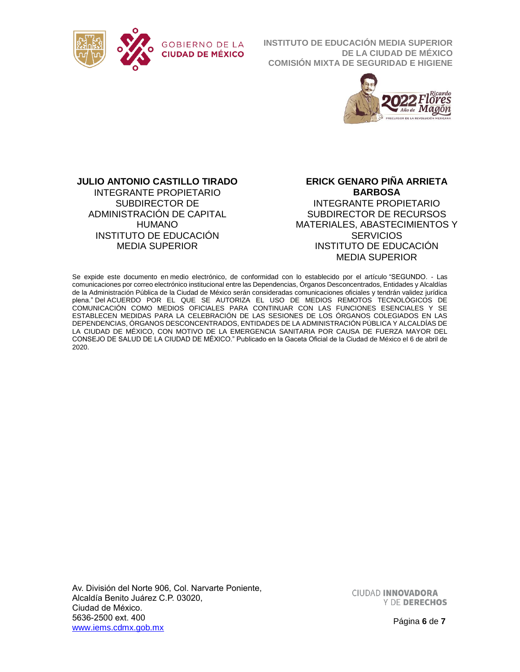



#### **JULIO ANTONIO CASTILLO TIRADO**

INTEGRANTE PROPIETARIO SUBDIRECTOR DE ADMINISTRACIÓN DE CAPITAL HUMANO INSTITUTO DE EDUCACIÓN MEDIA SUPERIOR

**ERICK GENARO PIÑA ARRIETA BARBOSA** INTEGRANTE PROPIETARIO SUBDIRECTOR DE RECURSOS MATERIALES, ABASTECIMIENTOS Y **SERVICIOS** INSTITUTO DE EDUCACIÓN MEDIA SUPERIOR

Se expide este documento en medio electrónico, de conformidad con lo establecido por el artículo "SEGUNDO. - Las comunicaciones por correo electrónico institucional entre las Dependencias, Órganos Desconcentrados, Entidades y Alcaldías de la Administración Pública de la Ciudad de México serán consideradas comunicaciones oficiales y tendrán validez jurídica plena." Del ACUERDO POR EL QUE SE AUTORIZA EL USO DE MEDIOS REMOTOS TECNOLÓGICOS DE COMUNICACIÓN COMO MEDIOS OFICIALES PARA CONTINUAR CON LAS FUNCIONES ESENCIALES Y SE ESTABLECEN MEDIDAS PARA LA CELEBRACIÓN DE LAS SESIONES DE LOS ÓRGANOS COLEGIADOS EN LAS DEPENDENCIAS, ÓRGANOS DESCONCENTRADOS, ENTIDADES DE LA ADMINISTRACIÓN PÚBLICA Y ALCALDÍAS DE LA CIUDAD DE MÉXICO, CON MOTIVO DE LA EMERGENCIA SANITARIA POR CAUSA DE FUERZA MAYOR DEL CONSEJO DE SALUD DE LA CIUDAD DE MÉXICO." Publicado en la Gaceta Oficial de la Ciudad de México el 6 de abril de 2020.

Av. División del Norte 906, Col. Narvarte Poniente, Alcaldía Benito Juárez C.P. 03020, Ciudad de México. 5636-2500 ext. 400 [www.iems.cdmx.gob.mx](http://www.iems.cdmx.gob.mx/)

**CIUDAD INNOVADORA** Y DE DERECHOS

Página **6** de **7**